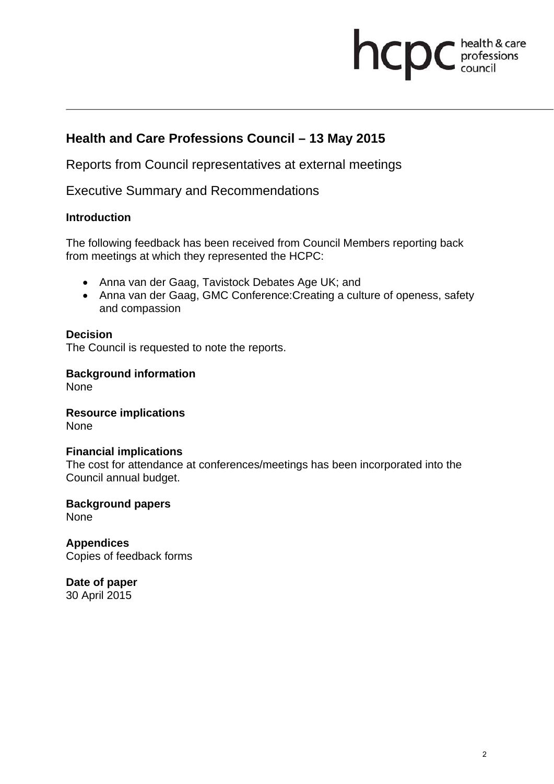# **health & care**

## **Health and Care Professions Council – 13 May 2015**

Reports from Council representatives at external meetings

Executive Summary and Recommendations

#### **Introduction**

The following feedback has been received from Council Members reporting back from meetings at which they represented the HCPC:

- Anna van der Gaag, Tavistock Debates Age UK; and
- Anna van der Gaag, GMC Conference: Creating a culture of openess, safety and compassion

#### **Decision**

The Council is requested to note the reports.

#### **Background information**

None

**Resource implications**  None

#### **Financial implications**

The cost for attendance at conferences/meetings has been incorporated into the Council annual budget.

**Background papers**  None

**Appendices**  Copies of feedback forms

**Date of paper**  30 April 2015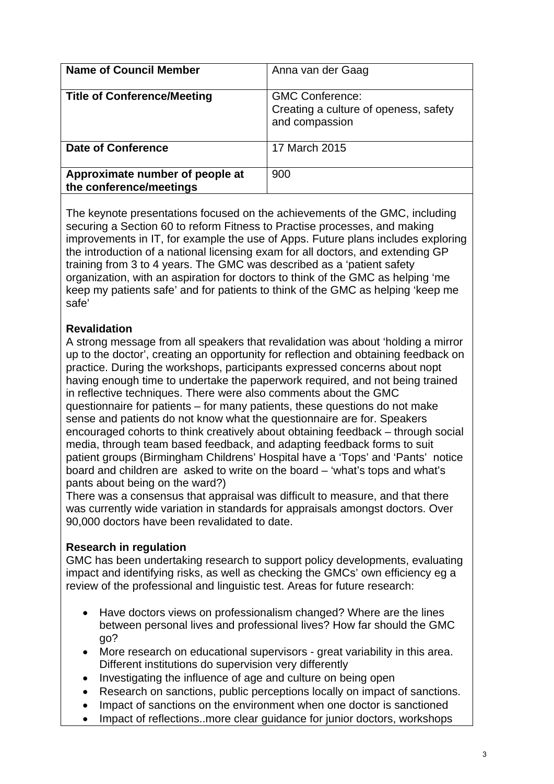| <b>Name of Council Member</b>                              | Anna van der Gaag                                                                 |
|------------------------------------------------------------|-----------------------------------------------------------------------------------|
| <b>Title of Conference/Meeting</b>                         | <b>GMC Conference:</b><br>Creating a culture of openess, safety<br>and compassion |
| Date of Conference                                         | 17 March 2015                                                                     |
| Approximate number of people at<br>the conference/meetings | 900                                                                               |

The keynote presentations focused on the achievements of the GMC, including securing a Section 60 to reform Fitness to Practise processes, and making improvements in IT, for example the use of Apps. Future plans includes exploring the introduction of a national licensing exam for all doctors, and extending GP training from 3 to 4 years. The GMC was described as a 'patient safety organization, with an aspiration for doctors to think of the GMC as helping 'me keep my patients safe' and for patients to think of the GMC as helping 'keep me safe'

#### **Revalidation**

A strong message from all speakers that revalidation was about 'holding a mirror up to the doctor', creating an opportunity for reflection and obtaining feedback on practice. During the workshops, participants expressed concerns about nopt having enough time to undertake the paperwork required, and not being trained in reflective techniques. There were also comments about the GMC questionnaire for patients – for many patients, these questions do not make sense and patients do not know what the questionnaire are for. Speakers encouraged cohorts to think creatively about obtaining feedback – through social media, through team based feedback, and adapting feedback forms to suit patient groups (Birmingham Childrens' Hospital have a 'Tops' and 'Pants' notice board and children are asked to write on the board – 'what's tops and what's pants about being on the ward?)

There was a consensus that appraisal was difficult to measure, and that there was currently wide variation in standards for appraisals amongst doctors. Over 90,000 doctors have been revalidated to date.

#### **Research in regulation**

GMC has been undertaking research to support policy developments, evaluating impact and identifying risks, as well as checking the GMCs' own efficiency eg a review of the professional and linguistic test. Areas for future research:

- Have doctors views on professionalism changed? Where are the lines between personal lives and professional lives? How far should the GMC go?
- More research on educational supervisors great variability in this area. Different institutions do supervision very differently
- Investigating the influence of age and culture on being open
- Research on sanctions, public perceptions locally on impact of sanctions.
- Impact of sanctions on the environment when one doctor is sanctioned
- Impact of reflections..more clear guidance for junior doctors, workshops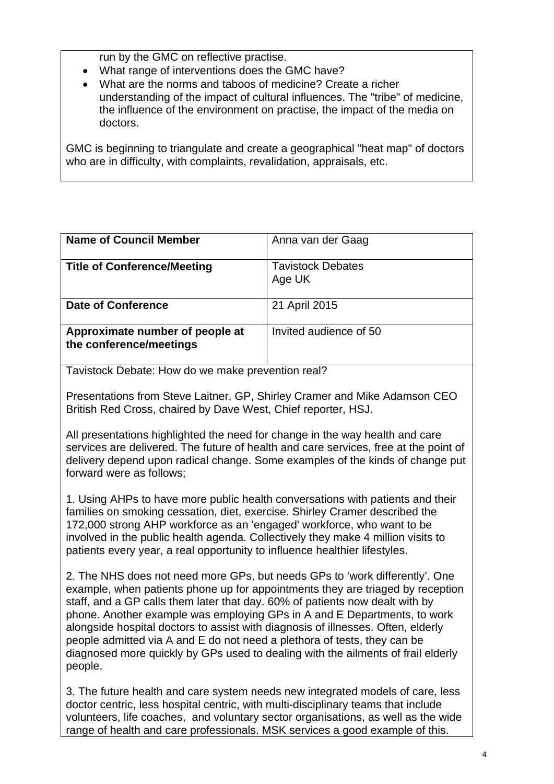run by the GMC on reflective practise.

- What range of interventions does the GMC have?
- What are the norms and taboos of medicine? Create a richer understanding of the impact of cultural influences. The "tribe" of medicine, the influence of the environment on practise, the impact of the media on doctors.

GMC is beginning to triangulate and create a geographical "heat map" of doctors who are in difficulty, with complaints, revalidation, appraisals, etc.

| <b>Name of Council Member</b>                              | Anna van der Gaag                  |
|------------------------------------------------------------|------------------------------------|
| <b>Title of Conference/Meeting</b>                         | <b>Tavistock Debates</b><br>Age UK |
| Date of Conference                                         | 21 April 2015                      |
| Approximate number of people at<br>the conference/meetings | Invited audience of 50             |

Tavistock Debate: How do we make prevention real?

Presentations from Steve Laitner, GP, Shirley Cramer and Mike Adamson CEO British Red Cross, chaired by Dave West, Chief reporter, HSJ.

All presentations highlighted the need for change in the way health and care services are delivered. The future of health and care services, free at the point of delivery depend upon radical change. Some examples of the kinds of change put forward were as follows;

1. Using AHPs to have more public health conversations with patients and their families on smoking cessation, diet, exercise. Shirley Cramer described the 172,000 strong AHP workforce as an 'engaged' workforce, who want to be involved in the public health agenda. Collectively they make 4 million visits to patients every year, a real opportunity to influence healthier lifestyles.

2. The NHS does not need more GPs, but needs GPs to 'work differently'. One example, when patients phone up for appointments they are triaged by reception staff, and a GP calls them later that day. 60% of patients now dealt with by phone. Another example was employing GPs in A and E Departments, to work alongside hospital doctors to assist with diagnosis of illnesses. Often, elderly people admitted via A and E do not need a plethora of tests, they can be diagnosed more quickly by GPs used to dealing with the ailments of frail elderly people.

3. The future health and care system needs new integrated models of care, less doctor centric, less hospital centric, with multi-disciplinary teams that include volunteers, life coaches, and voluntary sector organisations, as well as the wide range of health and care professionals. MSK services a good example of this.